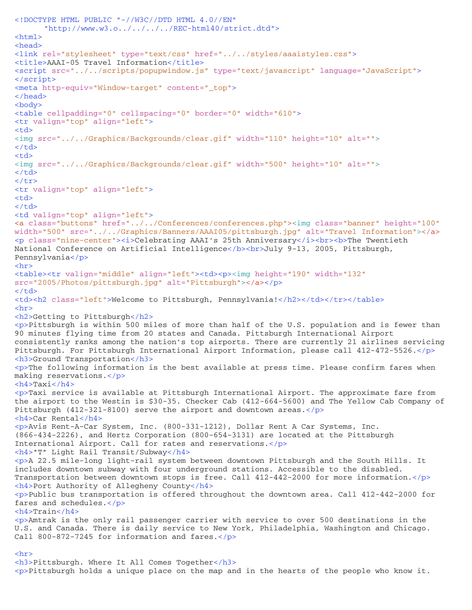```
<!DOCTYPE HTML PUBLIC "-//W3C//DTD HTML 4.0//EN" 
      "http://www.w3.o../../../../REC-html40/strict.dtd">
<html><head>
<link rel="stylesheet" type="text/css" href="../../styles/aaaistyles.css">
<title>AAAI-05 Travel Information</title>
<script src="../../scripts/popupwindow.js" type="text/javascript" language="JavaScript">
</script>
<meta http-equiv="Window-target" content="_top">
</head>
<body>
<table cellpadding="0" cellspacing="0" border="0" width="610">
<tr valign="top" align="left"> 
<fd>
<img src="../../Graphics/Backgrounds/clear.gif" width="110" height="10" alt=""> 
\langle t \, d \rangle<fd><img src="../../Graphics/Backgrounds/clear.gif" width="500" height="10" alt="">
\langle t \, d \rangle\langle/tr>
<tr valign="top" align="left"> 
<fd>
\langle t \, d \rangle<td valign="top" align="left">
<a class="buttons" href="../../Conferences/conferences.php"><img class="banner" height="100"
width="500" src="../../Graphics/Banners/AAAI05/pittsburgh.jpg" alt="Travel Information"></a>
<p class="nine-center"><i>Celebrating AAAI's 25th Anniversary</i><br><b>The Twentieth 
National Conference on Artificial Intelligence</b><br>July 9-13, 2005, Pittsburgh, 
Pennsylvania</p>
<hr>
<table><tr valign="middle" align="left"><td><p><img height="190" width="132"
src="2005/Photos/pittsburgh.jpg" alt="Pittsburgh"></a></p>
\langle t \, d \rangle<td><h2 class="left">Welcome to Pittsburgh, Pennsylvania!</h2></td></tr></table>
<hr>
<h2>Getting to Pittsburgh</h2>
<p>Pittsburgh is within 500 miles of more than half of the U.S. population and is fewer than 
90 minutes flying time from 20 states and Canada. Pittsburgh International Airport 
consistently ranks among the nation's top airports. There are currently 21 airlines servicing 
Pittsburgh. For Pittsburgh International Airport Information, please call 412-472-5526.</p>
<h3>Ground Transportation</h3>
<p>The following information is the best available at press time. Please confirm fares when 
making reservations.</p>
-Taxi</h4><p>Taxi service is available at Pittsburgh International Airport. The approximate fare from 
the airport to the Westin is $30-35. Checker Cab (412-664-5600) and The Yellow Cab Company of 
Pittsburgh (412-321-8100) serve the airport and downtown areas.</p>
<h4>Car Rental</h4>
<p>Avis Rent-A-Car System, Inc. (800-331-1212), Dollar Rent A Car Systems, Inc. 
(866-434-2226), and Hertz Corporation (800-654-3131) are located at the Pittsburgh 
International Airport. Call for rates and reservations.</p>
<h4>"T" Light Rail Transit/Subway</h4>
<p>A 22.5 mile-long light-rail system between downtown Pittsburgh and the South Hills. It 
includes downtown subway with four underground stations. Accessible to the disabled. 
Transportation between downtown stops is free. Call 412-442-2000 for more information.\langle p \rangle<h4>Port Authority of Allegheny County</h4>
<p>Public bus transportation is offered throughout the downtown area. Call 412-442-2000 for 
fares and schedules.</p>
-Train</h4><p>Amtrak is the only rail passenger carrier with service to over 500 destinations in the 
U.S. and Canada. There is daily service to New York, Philadelphia, Washington and Chicago. 
Call 800-872-7245 for information and fares.</p>
\langlehr>
<h3>Pittsburgh. Where It All Comes Together</h3>
```
<p>Pittsburgh holds a unique place on the map and in the hearts of the people who know it.